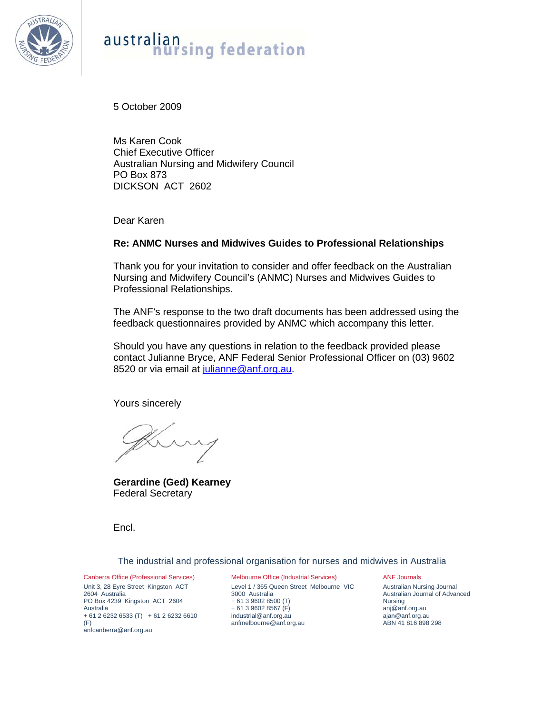

#### australian nan<br>hursing federation

5 October 2009

Ms Karen Cook Chief Executive Officer Australian Nursing and Midwifery Council PO Box 873 DICKSON ACT 2602

Dear Karen

#### **Re: ANMC Nurses and Midwives Guides to Professional Relationships**

Thank you for your invitation to consider and offer feedback on the Australian Nursing and Midwifery Council's (ANMC) Nurses and Midwives Guides to Professional Relationships.

The ANF's response to the two draft documents has been addressed using the feedback questionnaires provided by ANMC which accompany this letter.

Should you have any questions in relation to the feedback provided please contact Julianne Bryce, ANF Federal Senior Professional Officer on (03) 9602 8520 or via email at julianne@anf.org.au.

Yours sincerely

**Gerardine (Ged) Kearney**  Federal Secretary

Encl.

The industrial and professional organisation for nurses and midwives in Australia

Canberra Office (Professional Services) Unit 3, 28 Eyre Street Kingston ACT 2604 Australia PO Box 4239 Kingston ACT 2604 Australia + 61 2 6232 6533 (T) + 61 2 6232 6610 (F) anfcanberra@anf.org.au

Melbourne Office (Industrial Services) Level 1 / 365 Queen Street Melbourne VIC 3000 Australia + 61 3 9602 8500 (T) + 61 3 9602 8567 (F) industrial@anf.org.au anfmelbourne@anf.org.au

ANF Journals Australian Nursing Journal Australian Journal of Advanced Nursing anj@anf.org.au ajan@anf.org.au ABN 41 816 898 298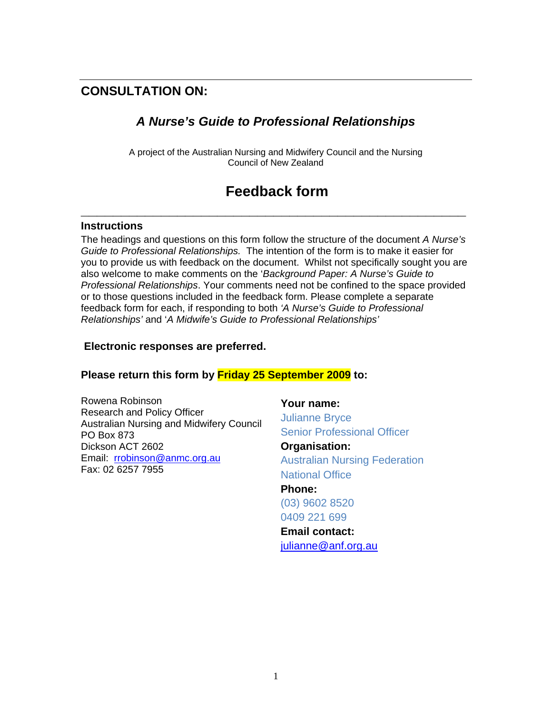### **CONSULTATION ON:**

#### *A Nurse's Guide to Professional Relationships*

A project of the Australian Nursing and Midwifery Council and the Nursing Council of New Zealand

# **Feedback form**

**\_\_\_\_\_\_\_\_\_\_\_\_\_\_\_\_\_\_\_\_\_\_\_\_\_\_\_\_\_\_\_\_\_\_\_\_\_\_\_\_\_\_\_\_\_\_\_\_** 

#### **Instructions**

The headings and questions on this form follow the structure of the document *A Nurse's Guide to Professional Relationships.* The intention of the form is to make it easier for you to provide us with feedback on the document. Whilst not specifically sought you are also welcome to make comments on the '*Background Paper: A Nurse's Guide to Professional Relationships*. Your comments need not be confined to the space provided or to those questions included in the feedback form. Please complete a separate feedback form for each, if responding to both *'A Nurse's Guide to Professional Relationships'* and '*A Midwife's Guide to Professional Relationships'* 

#### **Electronic responses are preferred.**

#### **Please return this form by Friday 25 September 2009 to:**

Rowena Robinson Research and Policy Officer Australian Nursing and Midwifery Council PO Box 873 Dickson ACT 2602 Email: rrobinson@anmc.org.au Fax: 02 6257 7955

**Your name:** Julianne Bryce Senior Professional Officer

**Organisation:**  Australian Nursing Federation National Office **Phone:**  (03) 9602 8520 0409 221 699 **Email contact:**  julianne@anf.org.au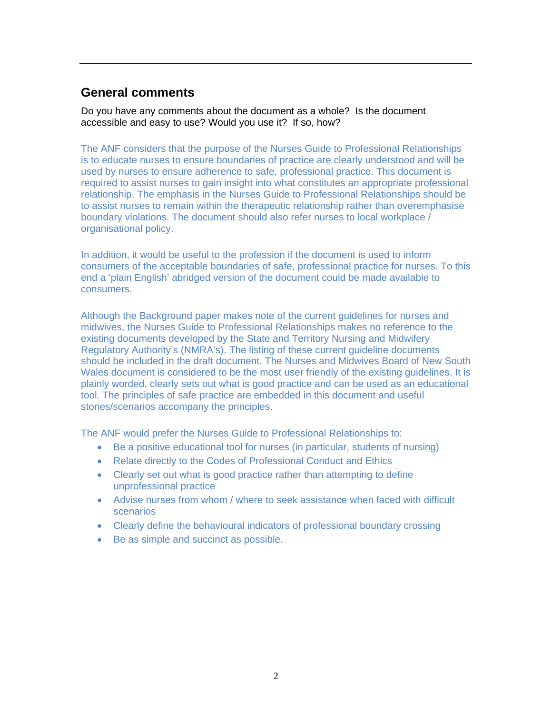### **General comments**

Do you have any comments about the document as a whole? Is the document accessible and easy to use? Would you use it? If so, how?

The ANF considers that the purpose of the Nurses Guide to Professional Relationships is to educate nurses to ensure boundaries of practice are clearly understood and will be used by nurses to ensure adherence to safe, professional practice. This document is required to assist nurses to gain insight into what constitutes an appropriate professional relationship. The emphasis in the Nurses Guide to Professional Relationships should be to assist nurses to remain within the therapeutic relationship rather than overemphasise boundary violations. The document should also refer nurses to local workplace / organisational policy.

In addition, it would be useful to the profession if the document is used to inform consumers of the acceptable boundaries of safe, professional practice for nurses. To this end a 'plain English' abridged version of the document could be made available to consumers.

Although the Background paper makes note of the current guidelines for nurses and midwives, the Nurses Guide to Professional Relationships makes no reference to the existing documents developed by the State and Territory Nursing and Midwifery Regulatory Authority's (NMRA's). The listing of these current guideline documents should be included in the draft document. The Nurses and Midwives Board of New South Wales document is considered to be the most user friendly of the existing guidelines. It is plainly worded, clearly sets out what is good practice and can be used as an educational tool. The principles of safe practice are embedded in this document and useful stories/scenarios accompany the principles.

The ANF would prefer the Nurses Guide to Professional Relationships to:

- Be a positive educational tool for nurses (in particular, students of nursing)
- Relate directly to the Codes of Professional Conduct and Ethics
- Clearly set out what is good practice rather than attempting to define unprofessional practice
- Advise nurses from whom / where to seek assistance when faced with difficult scenarios
- Clearly define the behavioural indicators of professional boundary crossing
- Be as simple and succinct as possible.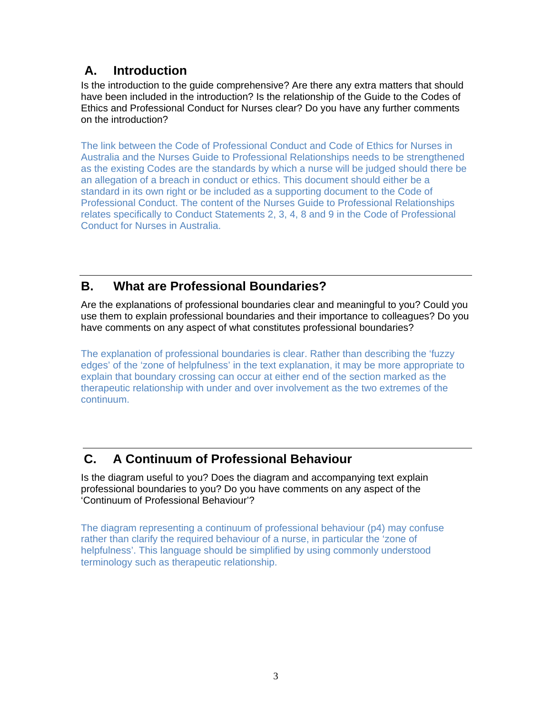## **A. Introduction**

Is the introduction to the guide comprehensive? Are there any extra matters that should have been included in the introduction? Is the relationship of the Guide to the Codes of Ethics and Professional Conduct for Nurses clear? Do you have any further comments on the introduction?

The link between the Code of Professional Conduct and Code of Ethics for Nurses in Australia and the Nurses Guide to Professional Relationships needs to be strengthened as the existing Codes are the standards by which a nurse will be judged should there be an allegation of a breach in conduct or ethics. This document should either be a standard in its own right or be included as a supporting document to the Code of Professional Conduct. The content of the Nurses Guide to Professional Relationships relates specifically to Conduct Statements 2, 3, 4, 8 and 9 in the Code of Professional Conduct for Nurses in Australia.

## **B. What are Professional Boundaries?**

Are the explanations of professional boundaries clear and meaningful to you? Could you use them to explain professional boundaries and their importance to colleagues? Do you have comments on any aspect of what constitutes professional boundaries?

The explanation of professional boundaries is clear. Rather than describing the 'fuzzy edges' of the 'zone of helpfulness' in the text explanation, it may be more appropriate to explain that boundary crossing can occur at either end of the section marked as the therapeutic relationship with under and over involvement as the two extremes of the continuum.

## **C. A Continuum of Professional Behaviour**

Is the diagram useful to you? Does the diagram and accompanying text explain professional boundaries to you? Do you have comments on any aspect of the 'Continuum of Professional Behaviour'?

The diagram representing a continuum of professional behaviour (p4) may confuse rather than clarify the required behaviour of a nurse, in particular the 'zone of helpfulness'. This language should be simplified by using commonly understood terminology such as therapeutic relationship.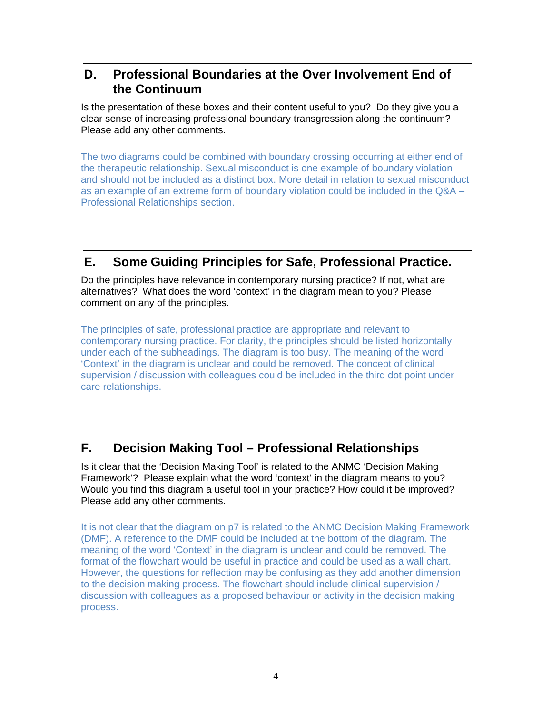### **D. Professional Boundaries at the Over Involvement End of the Continuum**

Is the presentation of these boxes and their content useful to you? Do they give you a clear sense of increasing professional boundary transgression along the continuum? Please add any other comments.

The two diagrams could be combined with boundary crossing occurring at either end of the therapeutic relationship. Sexual misconduct is one example of boundary violation and should not be included as a distinct box. More detail in relation to sexual misconduct as an example of an extreme form of boundary violation could be included in the Q&A – Professional Relationships section.

## **E. Some Guiding Principles for Safe, Professional Practice.**

Do the principles have relevance in contemporary nursing practice? If not, what are alternatives? What does the word 'context' in the diagram mean to you? Please comment on any of the principles.

The principles of safe, professional practice are appropriate and relevant to contemporary nursing practice. For clarity, the principles should be listed horizontally under each of the subheadings. The diagram is too busy. The meaning of the word 'Context' in the diagram is unclear and could be removed. The concept of clinical supervision / discussion with colleagues could be included in the third dot point under care relationships.

## **F. Decision Making Tool – Professional Relationships**

Is it clear that the 'Decision Making Tool' is related to the ANMC 'Decision Making Framework'? Please explain what the word 'context' in the diagram means to you? Would you find this diagram a useful tool in your practice? How could it be improved? Please add any other comments.

It is not clear that the diagram on p7 is related to the ANMC Decision Making Framework (DMF). A reference to the DMF could be included at the bottom of the diagram. The meaning of the word 'Context' in the diagram is unclear and could be removed. The format of the flowchart would be useful in practice and could be used as a wall chart. However, the questions for reflection may be confusing as they add another dimension to the decision making process. The flowchart should include clinical supervision / discussion with colleagues as a proposed behaviour or activity in the decision making process.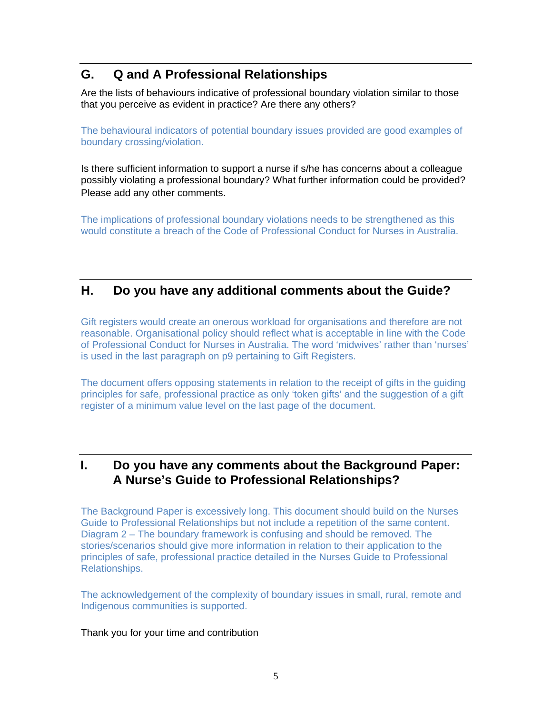## **G. Q and A Professional Relationships**

Are the lists of behaviours indicative of professional boundary violation similar to those that you perceive as evident in practice? Are there any others?

The behavioural indicators of potential boundary issues provided are good examples of boundary crossing/violation.

Is there sufficient information to support a nurse if s/he has concerns about a colleague possibly violating a professional boundary? What further information could be provided? Please add any other comments.

The implications of professional boundary violations needs to be strengthened as this would constitute a breach of the Code of Professional Conduct for Nurses in Australia.

#### **H. Do you have any additional comments about the Guide?**

Gift registers would create an onerous workload for organisations and therefore are not reasonable. Organisational policy should reflect what is acceptable in line with the Code of Professional Conduct for Nurses in Australia. The word 'midwives' rather than 'nurses' is used in the last paragraph on p9 pertaining to Gift Registers.

The document offers opposing statements in relation to the receipt of gifts in the guiding principles for safe, professional practice as only 'token gifts' and the suggestion of a gift register of a minimum value level on the last page of the document.

### **I. Do you have any comments about the Background Paper: A Nurse's Guide to Professional Relationships?**

The Background Paper is excessively long. This document should build on the Nurses Guide to Professional Relationships but not include a repetition of the same content. Diagram 2 – The boundary framework is confusing and should be removed. The stories/scenarios should give more information in relation to their application to the principles of safe, professional practice detailed in the Nurses Guide to Professional Relationships.

The acknowledgement of the complexity of boundary issues in small, rural, remote and Indigenous communities is supported.

#### Thank you for your time and contribution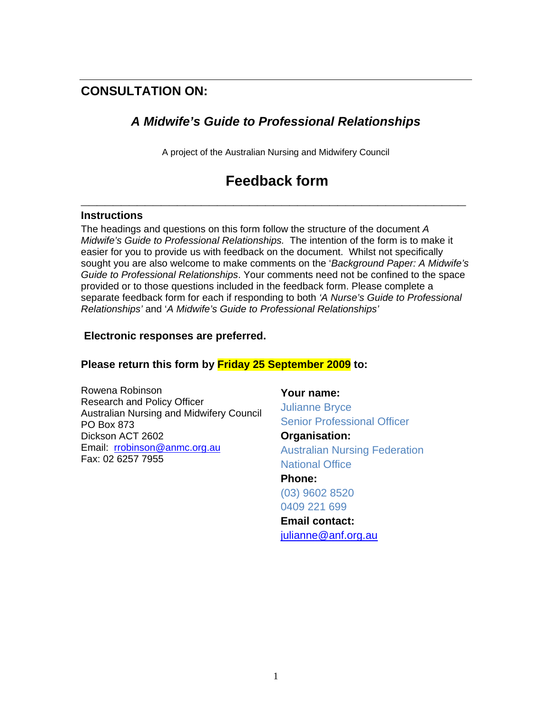## **CONSULTATION ON:**

## *A Midwife's Guide to Professional Relationships*

A project of the Australian Nursing and Midwifery Council

# **Feedback form**

**\_\_\_\_\_\_\_\_\_\_\_\_\_\_\_\_\_\_\_\_\_\_\_\_\_\_\_\_\_\_\_\_\_\_\_\_\_\_\_\_\_\_\_\_\_\_\_\_** 

#### **Instructions**

The headings and questions on this form follow the structure of the document *A Midwife's Guide to Professional Relationships.* The intention of the form is to make it easier for you to provide us with feedback on the document. Whilst not specifically sought you are also welcome to make comments on the '*Background Paper: A Midwife's Guide to Professional Relationships*. Your comments need not be confined to the space provided or to those questions included in the feedback form. Please complete a separate feedback form for each if responding to both *'A Nurse's Guide to Professional Relationships'* and '*A Midwife's Guide to Professional Relationships'* 

#### **Electronic responses are preferred.**

#### **Please return this form by Friday 25 September 2009 to:**

Rowena Robinson Research and Policy Officer Australian Nursing and Midwifery Council PO Box 873 Dickson ACT 2602 Email: rrobinson@anmc.org.au Fax: 02 6257 7955

**Your name:** Julianne Bryce Senior Professional Officer **Organisation:**  Australian Nursing Federation

National Office **Phone:** 

(03) 9602 8520 0409 221 699

**Email contact:**  julianne@anf.org.au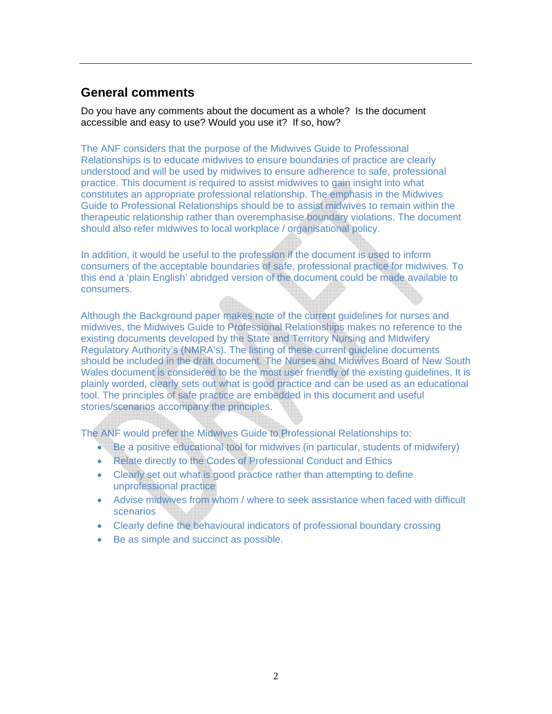#### **General comments**

Do you have any comments about the document as a whole? Is the document accessible and easy to use? Would you use it? If so, how?

The ANF considers that the purpose of the Midwives Guide to Professional Relationships is to educate midwives to ensure boundaries of practice are clearly understood and will be used by midwives to ensure adherence to safe, professional practice. This document is required to assist midwives to gain insight into what constitutes an appropriate professional relationship. The emphasis in the Midwives Guide to Professional Relationships should be to assist midwives to remain within the therapeutic relationship rather than overemphasise boundary violations. The document should also refer midwives to local workplace / organisational policy.

In addition, it would be useful to the profession if the document is used to inform consumers of the acceptable boundaries of safe, professional practice for midwives. To this end a 'plain English' abridged version of the document could be made available to consumers.

Although the Background paper makes note of the current guidelines for nurses and midwives, the Midwives Guide to Professional Relationships makes no reference to the existing documents developed by the State and Territory Nursing and Midwifery Regulatory Authority's (NMRA's). The listing of these current guideline documents should be included in the draft document. The Nurses and Midwives Board of New South Wales document is considered to be the most user friendly of the existing guidelines. It is plainly worded, clearly sets out what is good practice and can be used as an educational tool. The principles of safe practice are embedded in this document and useful stories/scenarios accompany the principles.

The ANF would prefer the Midwives Guide to Professional Relationships to:

- Be a positive educational tool for midwives (in particular, students of midwifery)
- Relate directly to the Codes of Professional Conduct and Ethics
- Clearly set out what is good practice rather than attempting to define unprofessional practice
- Advise midwives from whom / where to seek assistance when faced with difficult scenarios
- Clearly define the behavioural indicators of professional boundary crossing
- Be as simple and succinct as possible.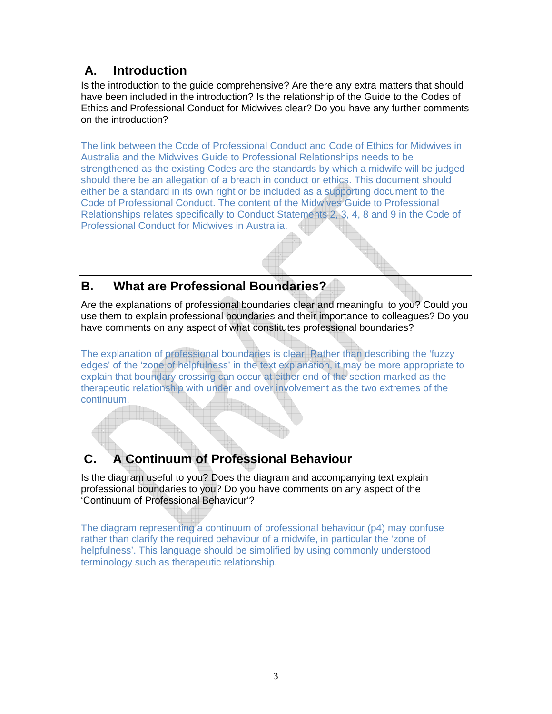# **A. Introduction**

Is the introduction to the guide comprehensive? Are there any extra matters that should have been included in the introduction? Is the relationship of the Guide to the Codes of Ethics and Professional Conduct for Midwives clear? Do you have any further comments on the introduction?

The link between the Code of Professional Conduct and Code of Ethics for Midwives in Australia and the Midwives Guide to Professional Relationships needs to be strengthened as the existing Codes are the standards by which a midwife will be judged should there be an allegation of a breach in conduct or ethics. This document should either be a standard in its own right or be included as a supporting document to the Code of Professional Conduct. The content of the Midwives Guide to Professional Relationships relates specifically to Conduct Statements 2, 3, 4, 8 and 9 in the Code of Professional Conduct for Midwives in Australia.

# **B. What are Professional Boundaries?**

Are the explanations of professional boundaries clear and meaningful to you? Could you use them to explain professional boundaries and their importance to colleagues? Do you have comments on any aspect of what constitutes professional boundaries?

The explanation of professional boundaries is clear. Rather than describing the 'fuzzy edges' of the 'zone of helpfulness' in the text explanation, it may be more appropriate to explain that boundary crossing can occur at either end of the section marked as the therapeutic relationship with under and over involvement as the two extremes of the continuum.

# **C. A Continuum of Professional Behaviour**

Is the diagram useful to you? Does the diagram and accompanying text explain professional boundaries to you? Do you have comments on any aspect of the 'Continuum of Professional Behaviour'?

The diagram representing a continuum of professional behaviour (p4) may confuse rather than clarify the required behaviour of a midwife, in particular the 'zone of helpfulness'. This language should be simplified by using commonly understood terminology such as therapeutic relationship.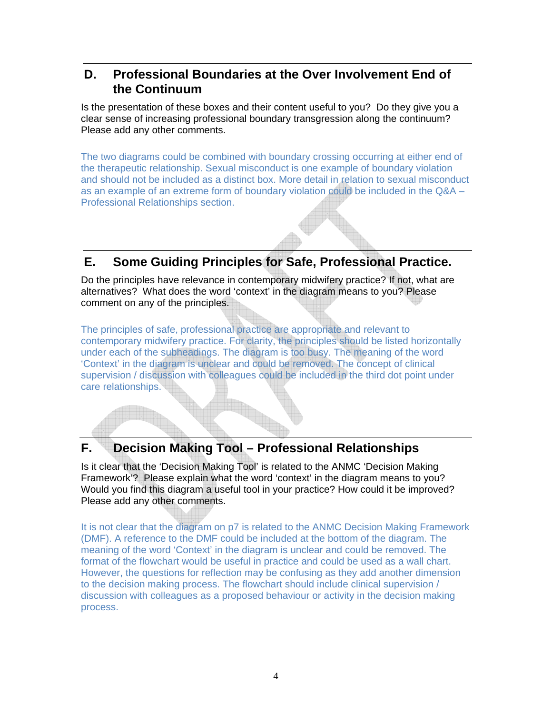### **D. Professional Boundaries at the Over Involvement End of the Continuum**

Is the presentation of these boxes and their content useful to you? Do they give you a clear sense of increasing professional boundary transgression along the continuum? Please add any other comments.

The two diagrams could be combined with boundary crossing occurring at either end of the therapeutic relationship. Sexual misconduct is one example of boundary violation and should not be included as a distinct box. More detail in relation to sexual misconduct as an example of an extreme form of boundary violation could be included in the Q&A – Professional Relationships section.

## **E. Some Guiding Principles for Safe, Professional Practice.**

Do the principles have relevance in contemporary midwifery practice? If not, what are alternatives? What does the word 'context' in the diagram means to you? Please comment on any of the principles.

The principles of safe, professional practice are appropriate and relevant to contemporary midwifery practice. For clarity, the principles should be listed horizontally under each of the subheadings. The diagram is too busy. The meaning of the word 'Context' in the diagram is unclear and could be removed. The concept of clinical supervision / discussion with colleagues could be included in the third dot point under care relationships.

## **F. Decision Making Tool – Professional Relationships**

Is it clear that the 'Decision Making Tool' is related to the ANMC 'Decision Making Framework'? Please explain what the word 'context' in the diagram means to you? Would you find this diagram a useful tool in your practice? How could it be improved? Please add any other comments.

It is not clear that the diagram on p7 is related to the ANMC Decision Making Framework (DMF). A reference to the DMF could be included at the bottom of the diagram. The meaning of the word 'Context' in the diagram is unclear and could be removed. The format of the flowchart would be useful in practice and could be used as a wall chart. However, the questions for reflection may be confusing as they add another dimension to the decision making process. The flowchart should include clinical supervision / discussion with colleagues as a proposed behaviour or activity in the decision making process.